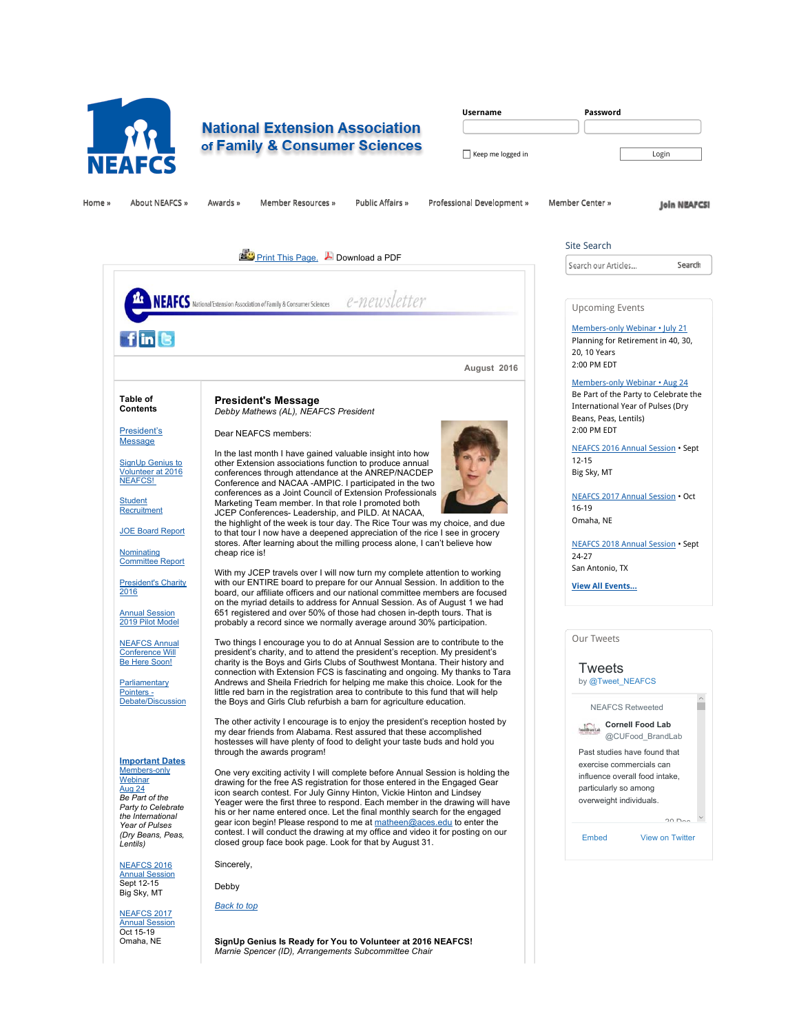

# **National Extension Association** of Family & Consumer Sciences

| <b>Username</b>   | Password |
|-------------------|----------|
|                   |          |
| Keep me logged in | Login    |

Home » About NEAFCS » Awards » Member Resources » Public Affairs » Professional Development » Member Center »

**Join NEAFCSI** 

**Search** 

 $200 - 25$ 

E

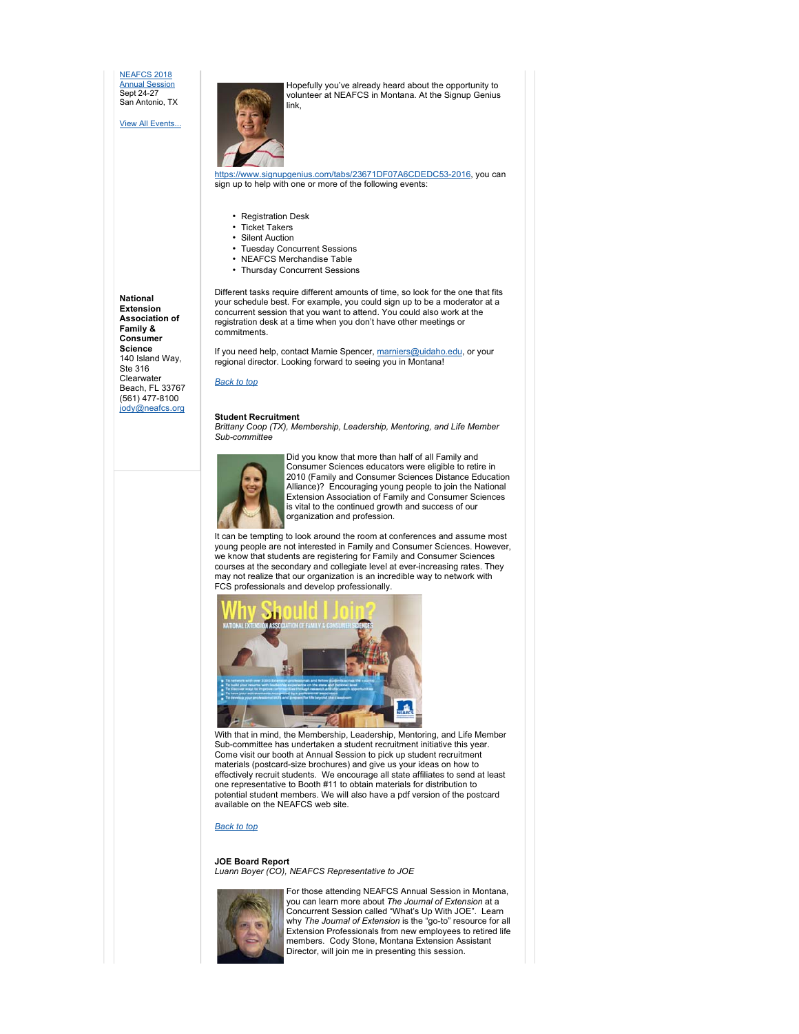NEAFCS 2018 Annual Session Sept 24-27 San Antonio, TX

View All Events...

Hopefully you've already heard about the opportunity to volunteer at NEAFCS in Montana. At the Signup Genius link,



https://www.signupgenius.com/tabs/23671DF07A6CDEDC53-2016, you can sign up to help with one or more of the following events:

- Registration Desk
- Ticket Takers
- Silent Auction
- Tuesday Concurrent Sessions
- NEAFCS Merchandise Table
- Thursday Concurrent Sessions

**National Extension Association of Family & Consumer Science** 140 Island Way, Ste 316 **Clearwater** Beach, FL 33767 (561) 477-8100

jody@neafcs.org

Different tasks require different amounts of time, so look for the one that fits your schedule best. For example, you could sign up to be a moderator at a concurrent session that you want to attend. You could also work at the registration desk at a time when you don't have other meetings or commitments.

If you need help, contact Marnie Spencer, marniers@uidaho.edu, or your regional director. Looking forward to seeing you in Montana!

#### *Back to top*

## **Student Recruitment**

*Brittany Coop (TX), Membership, Leadership, Mentoring, and Life Member Sub-committee*



Did you know that more than half of all Family and Consumer Sciences educators were eligible to retire in 2010 (Family and Consumer Sciences Distance Education Alliance)? Encouraging young people to join the National Extension Association of Family and Consumer Sciences is vital to the continued growth and success of our organization and profession.

It can be tempting to look around the room at conferences and assume most young people are not interested in Family and Consumer Sciences. However, we know that students are registering for Family and Consumer Sciences courses at the secondary and collegiate level at ever-increasing rates. They may not realize that our organization is an incredible way to network with FCS professionals and develop professionally.



With that in mind, the Membership, Leadership, Mentoring, and Life Member Sub-committee has undertaken a student recruitment initiative this year. Come visit our booth at Annual Session to pick up student recruitment materials (postcard-size brochures) and give us your ideas on how to effectively recruit students. We encourage all state affiliates to send at least one representative to Booth #11 to obtain materials for distribution to potential student members. We will also have a pdf version of the postcard available on the NEAFCS web site.

# *Back to top*

**JOE Board Report** *Luann Boyer (CO), NEAFCS Representative to JOE*



For those attending NEAFCS Annual Session in Montana, you can learn more about *The Journal of Extension* at a Concurrent Session called "What's Up With JOE". Learn why *The Journal of Extension* is the "go-to" resource for all Extension Professionals from new employees to retired life members. Cody Stone, Montana Extension Assistant Director, will join me in presenting this session.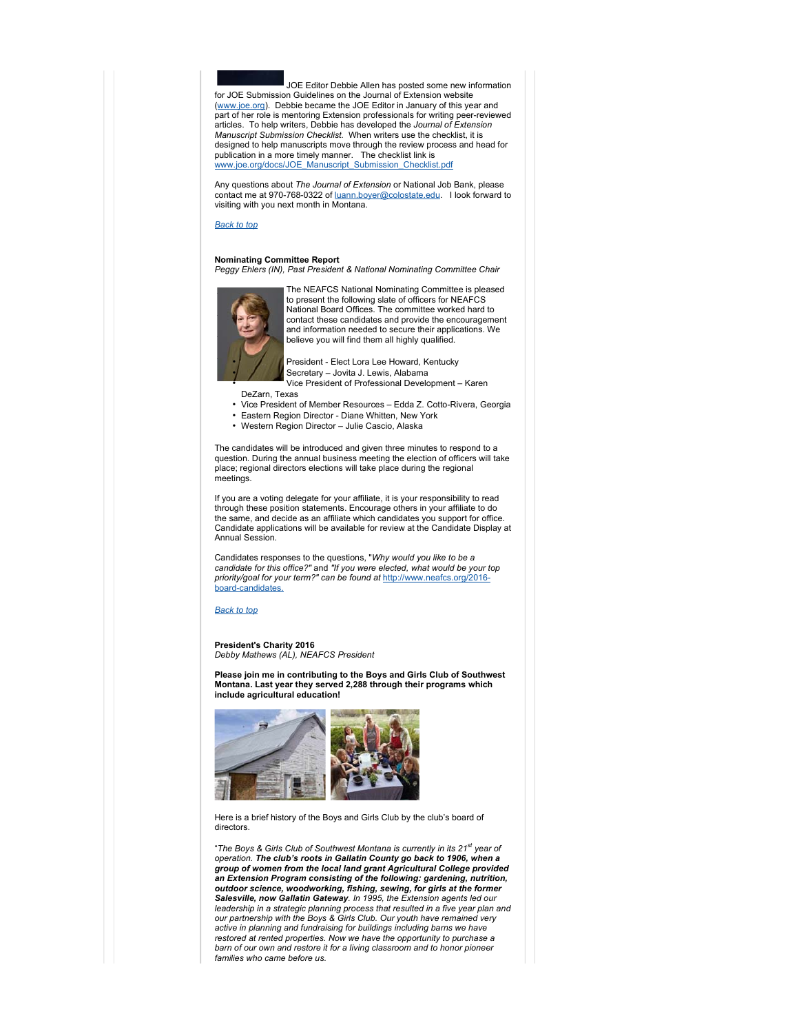JOE Editor Debbie Allen has posted some new information for JOE Submission Guidelines on the Journal of Extension website (www.joe.org). Debbie became the JOE Editor in January of this year and part of her role is mentoring Extension professionals for writing peer-reviewed articles. To help writers, Debbie has developed the *Journal of Extension Manuscript Submission Checklist.* When writers use the checklist, it is designed to help manuscripts move through the review process and head for publication in a more timely manner. The checklist link is www.joe.org/docs/JOE\_Manuscript\_Submission\_Checklist.pdf

Any questions about *The Journal of Extension* or National Job Bank, please contact me at 970-768-0322 of <u>luann.boyer@colostate.edu</u>. I look forward to<br>visiting with you next month in Montana.

#### *Back to top*

#### **Nominating Committee Report**

*Peggy Ehlers (IN), Past President & National Nominating Committee Chair*



The NEAFCS National Nominating Committee is pleased to present the following slate of officers for NEAFCS National Board Offices. The committee worked hard to contact these candidates and provide the encouragement and information needed to secure their applications. We believe you will find them all highly qualified.

• President - Elect Lora Lee Howard, Kentucky • Secretary – Jovita J. Lewis, Alabama • Vice President of Professional Development – Karen

DeZarn, Texas

- Vice President of Member Resources Edda Z. Cotto-Rivera, Georgia
- Eastern Region Director Diane Whitten, New York
- Western Region Director Julie Cascio, Alaska

The candidates will be introduced and given three minutes to respond to a question. During the annual business meeting the election of officers will take place; regional directors elections will take place during the regional meetings.

If you are a voting delegate for your affiliate, it is your responsibility to read through these position statements. Encourage others in your affiliate to do the same, and decide as an affiliate which candidates you support for office. Candidate applications will be available for review at the Candidate Display at Annual Session.

Candidates responses to the questions, "*Why would you like to be a candidate for this office?"* and *"If you were elected, what would be your top priority/goal for your term?" can be found at* http://www.neafcs.org/2016 board-candidates.

### *Back to top*

**President's Charity 2016** *Debby Mathews (AL), NEAFCS President*

**Please join me in contributing to the Boys and Girls Club of Southwest Montana. Last year they served 2,288 through their programs which include agricultural education!** 



Here is a brief history of the Boys and Girls Club by the club's board of directors.

"*The Boys & Girls Club of Southwest Montana is currently in its 21st year of operation. The club's roots in Gallatin County go back to 1906, when a group of women from the local land grant Agricultural College provided an Extension Program consisting of the following: gardening, nutrition, outdoor science, woodworking, fishing, sewing, for girls at the former Salesville, now Gallatin Gateway. In 1995, the Extension agents led our leadership in a strategic planning process that resulted in a five year plan and our partnership with the Boys & Girls Club. Our youth have remained very active in planning and fundraising for buildings including barns we have restored at rented properties. Now we have the opportunity to purchase a barn of our own and restore it for a living classroom and to honor pioneer families who came before us.*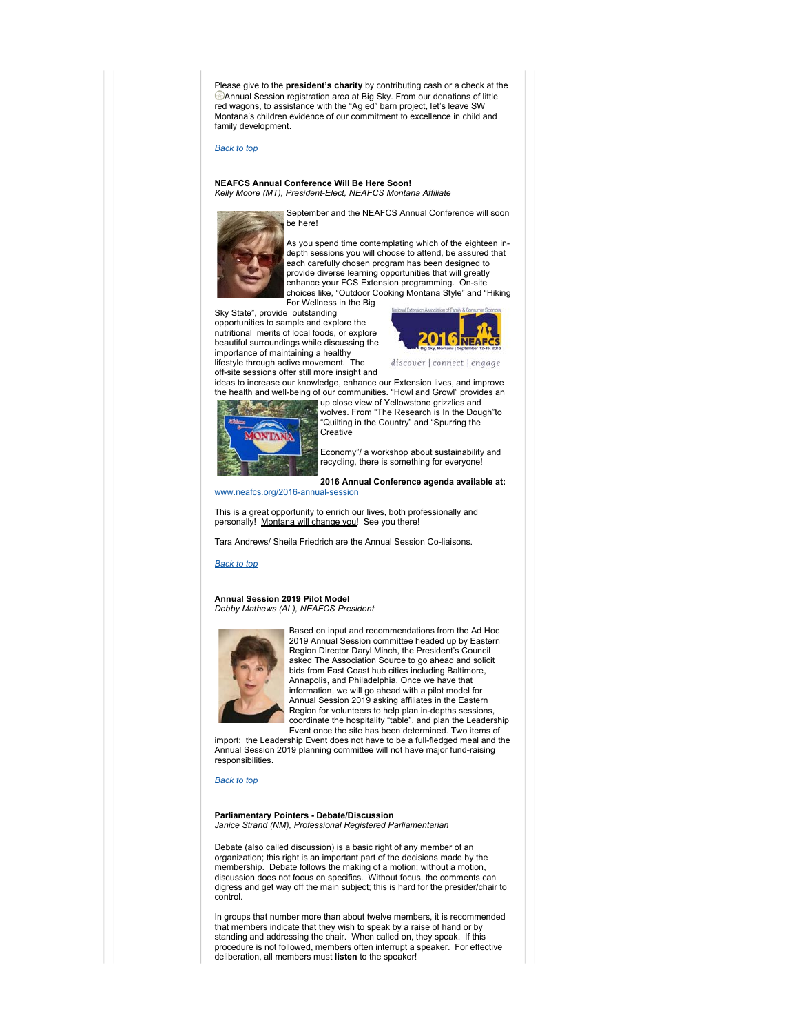Please give to the **president's charity** by contributing cash or a check at the Annual Session registration area at Big Sky. From our donations of little red wagons, to assistance with the "Ag ed" barn project, let's leave SW Montana's children evidence of our commitment to excellence in child and family development.

# *Back to top*

#### **NEAFCS Annual Conference Will Be Here Soon!**  *Kelly Moore (MT), President-Elect, NEAFCS Montana Affiliate*



September and the NEAFCS Annual Conference will soon be here!

As you spend time contemplating which of the eighteen indepth sessions you will choose to attend, be assured that each carefully chosen program has been designed to provide diverse learning opportunities that will greatly enhance your FCS Extension programming. On-site choices like, "Outdoor Cooking Montana Style" and "Hiking For Wellness in the Big

Sky State", provide outstanding opportunities to sample and explore the nutritional merits of local foods, or explore beautiful surroundings while discussing the importance of maintaining a healthy lifestyle through active movement. The



discover | connect | engage

off-site sessions offer still more insight and ideas to increase our knowledge, enhance our Extension lives, and improve the health and well-being of our communities. "Howl and Growl" provides an

**Creative** 



Economy"/ a workshop about sustainability and recycling, there is something for everyone!

up close view of Yellowstone grizzlies and wolves. From "The Research is In the Dough"to "Quilting in the Country" and "Spurring the

# **2016 Annual Conference agenda available at:**

www.neafcs.org/2016-annual-session

This is a great opportunity to enrich our lives, both professionally and personally! Montana will change you! See you there!

Tara Andrews/ Sheila Friedrich are the Annual Session Co-liaisons.

*Back to top*

### **Annual Session 2019 Pilot Model** *Debby Mathews (AL), NEAFCS President*



Based on input and recommendations from the Ad Hoc 2019 Annual Session committee headed up by Eastern Region Director Daryl Minch, the President's Council asked The Association Source to go ahead and solicit bids from East Coast hub cities including Baltimore, Annapolis, and Philadelphia. Once we have that information, we will go ahead with a pilot model for Annual Session 2019 asking affiliates in the Eastern Region for volunteers to help plan in-depths sessions, coordinate the hospitality "table", and plan the Leadership Event once the site has been determined. Two items of

import: the Leadership Event does not have to be a full-fledged meal and the Annual Session 2019 planning committee will not have major fund-raising responsibilities.

*Back to top*

#### **Parliamentary Pointers - Debate/Discussion** *Janice Strand (NM), Professional Registered Parliamentarian*

Debate (also called discussion) is a basic right of any member of an organization; this right is an important part of the decisions made by the membership. Debate follows the making of a motion; without a motion, discussion does not focus on specifics. Without focus, the comments can digress and get way off the main subject; this is hard for the presider/chair to control.

In groups that number more than about twelve members, it is recommended that members indicate that they wish to speak by a raise of hand or by standing and addressing the chair. When called on, they speak. If this procedure is not followed, members often interrupt a speaker. For effective deliberation, all members must **listen** to the speaker!